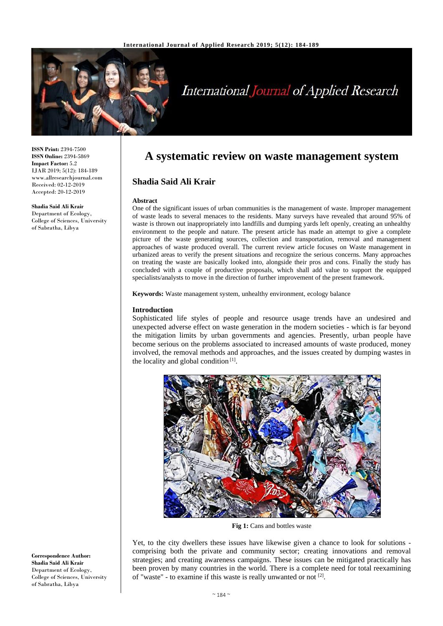

# **International Journal of Applied Research**

**ISSN Print:** 2394-7500 **ISSN Online:** 2394-5869 **Impact Factor:** 5.2 IJAR 2019; 5(12): 184-189 www.allresearchjournal.com Received: 02-12-2019 Accepted: 20-12-2019

**Shadia Said Ali Krair** Department of Ecology, College of Sciences, University of Sabratha, Libya

# **A systematic review on waste management system**

# **Shadia Said Ali Krair**

#### **Abstract**

One of the significant issues of urban communities is the management of waste. Improper management of waste leads to several menaces to the residents. Many surveys have revealed that around 95% of waste is thrown out inappropriately into landfills and dumping yards left openly, creating an unhealthy environment to the people and nature. The present article has made an attempt to give a complete picture of the waste generating sources, collection and transportation, removal and management approaches of waste produced overall. The current review article focuses on Waste management in urbanized areas to verify the present situations and recognize the serious concerns. Many approaches on treating the waste are basically looked into, alongside their pros and cons. Finally the study has concluded with a couple of productive proposals, which shall add value to support the equipped specialists/analysts to move in the direction of further improvement of the present framework.

**Keywords:** Waste management system, unhealthy environment, ecology balance

## **Introduction**

Sophisticated life styles of people and resource usage trends have an undesired and unexpected adverse effect on waste generation in the modern societies - which is far beyond the mitigation limits by urban governments and agencies. Presently, urban people have become serious on the problems associated to increased amounts of waste produced, money involved, the removal methods and approaches, and the issues created by dumping wastes in the locality and global condition  $[1]$ .



**Fig 1:** Cans and bottles waste

Yet, to the city dwellers these issues have likewise given a chance to look for solutions comprising both the private and community sector; creating innovations and removal strategies; and creating awareness campaigns. These issues can be mitigated practically has been proven by many countries in the world. There is a complete need for total reexamining of "waste" - to examine if this waste is really unwanted or not  $[2]$ .

**Correspondence Author: Shadia Said Ali Krair** Department of Ecology, College of Sciences, University of Sabratha, Libya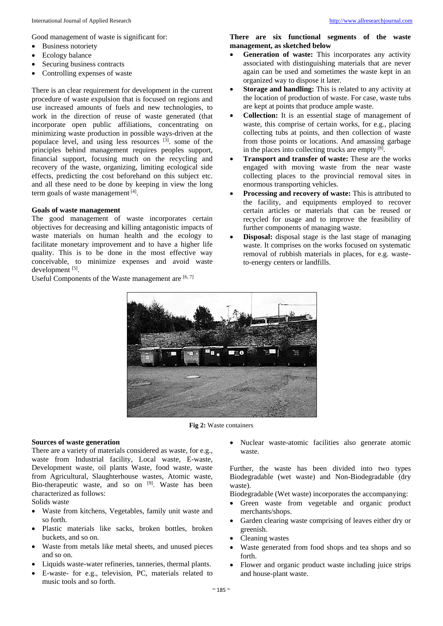Good management of waste is significant for:

- Business notoriety
- Ecology balance
- Securing business contracts
- Controlling expenses of waste

There is an clear requirement for development in the current procedure of waste expulsion that is focused on regions and use increased amounts of fuels and new technologies, to work in the direction of reuse of waste generated (that incorporate open public affiliations, concentrating on minimizing waste production in possible ways-driven at the populace level, and using less resources [3]. some of the principles behind management requires peoples support, financial support, focusing much on the recycling and recovery of the waste, organizing, limiting ecological side effects, predicting the cost beforehand on this subject etc. and all these need to be done by keeping in view the long term goals of waste management<sup>[4]</sup>.

# **Goals of waste management**

The good management of waste incorporates certain objectives for decreasing and killing antagonistic impacts of waste materials on human health and the ecology to facilitate monetary improvement and to have a higher life quality. This is to be done in the most effective way conceivable, to minimize expenses and avoid waste development [5].

Useful Components of the Waste management are  $[6, 7]$ 

**There are six functional segments of the waste management, as sketched below**

- **Generation of waste:** This incorporates any activity associated with distinguishing materials that are never again can be used and sometimes the waste kept in an organized way to dispose it later.
- **Storage and handling:** This is related to any activity at the location of production of waste. For case, waste tubs are kept at points that produce ample waste.
- **Collection:** It is an essential stage of management of waste, this comprise of certain works, for e.g., placing collecting tubs at points, and then collection of waste from those points or locations. And amassing garbage in the places into collecting trucks are empty [8].
- **Transport and transfer of waste:** These are the works engaged with moving waste from the near waste collecting places to the provincial removal sites in enormous transporting vehicles.
- **Processing and recovery of waste:** This is attributed to the facility, and equipments employed to recover certain articles or materials that can be reused or recycled for usage and to improve the feasibility of further components of managing waste.
- **Disposal:** disposal stage is the last stage of managing waste. It comprises on the works focused on systematic removal of rubbish materials in places, for e.g. wasteto-energy centers or landfills.



**Fig 2:** Waste containers

## **Sources of waste generation**

There are a variety of materials considered as waste, for e.g., waste from Industrial facility, Local waste, E-waste, Development waste, oil plants Waste, food waste, waste from Agricultural, Slaughterhouse wastes, Atomic waste, Bio-therapeutic waste, and so on [9]. Waste has been characterized as follows:

Solids waste

- Waste from kitchens, Vegetables, family unit waste and so forth.
- Plastic materials like sacks, broken bottles, broken buckets, and so on.
- Waste from metals like metal sheets, and unused pieces and so on.
- Liquids waste-water refineries, tanneries, thermal plants.
- E-waste- for e.g., television, PC, materials related to music tools and so forth.

 Nuclear waste-atomic facilities also generate atomic waste.

Further, the waste has been divided into two types Biodegradable (wet waste) and Non-Biodegradable (dry waste).

Biodegradable (Wet waste) incorporates the accompanying:

- Green waste from vegetable and organic product merchants/shops.
- Garden clearing waste comprising of leaves either dry or greenish.
- Cleaning wastes
- Waste generated from food shops and tea shops and so forth.
- Flower and organic product waste including juice strips and house-plant waste.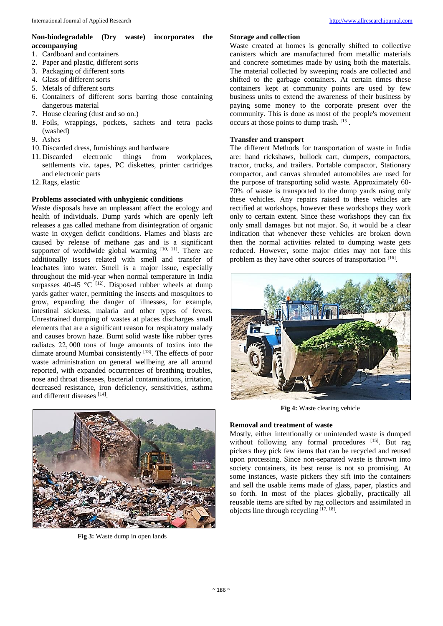## **Non-biodegradable (Dry waste) incorporates the accompanying**

- 1. Cardboard and containers
- 2. Paper and plastic, different sorts
- 3. Packaging of different sorts
- 4. Glass of different sorts
- 5. Metals of different sorts
- 6. Containers of different sorts barring those containing dangerous material
- 7. House clearing (dust and so on.)
- 8. Foils, wrappings, pockets, sachets and tetra packs (washed)
- 9. Ashes
- 10. Discarded dress, furnishings and hardware
- 11. Discarded electronic things from workplaces, settlements viz. tapes, PC diskettes, printer cartridges and electronic parts
- 12. Rags, elastic

# **Problems associated with unhygienic conditions**

Waste disposals have an unpleasant affect the ecology and health of individuals. Dump yards which are openly left releases a gas called methane from disintegration of organic waste in oxygen deficit conditions. Flames and blasts are caused by release of methane gas and is a significant supporter of worldwide global warming [10, 11]. There are additionally issues related with smell and transfer of leachates into water. Smell is a major issue, especially throughout the mid-year when normal temperature in India surpasses 40-45  $^{\circ}$ C<sup>[12]</sup>. Disposed rubber wheels at dump yards gather water, permitting the insects and mosquitoes to grow, expanding the danger of illnesses, for example, intestinal sickness, malaria and other types of fevers. Unrestrained dumping of wastes at places discharges small elements that are a significant reason for respiratory malady and causes brown haze. Burnt solid waste like rubber tyres radiates 22, 000 tons of huge amounts of toxins into the climate around Mumbai consistently [13]. The effects of poor waste administration on general wellbeing are all around reported, with expanded occurrences of breathing troubles, nose and throat diseases, bacterial contaminations, irritation, decreased resistance, iron deficiency, sensitivities, asthma and different diseases [14].



**Fig 3:** Waste dump in open lands

# **Storage and collection**

Waste created at homes is generally shifted to collective canisters which are manufactured from metallic materials and concrete sometimes made by using both the materials. The material collected by sweeping roads are collected and shifted to the garbage containers. At certain times these containers kept at community points are used by few business units to extend the awareness of their business by paying some money to the corporate present over the community. This is done as most of the people's movement occurs at those points to dump trash. [15] .

# **Transfer and transport**

The different Methods for transportation of waste in India are: hand rickshaws, bullock cart, dumpers, compactors, tractor, trucks, and trailers. Portable compactor, Stationary compactor, and canvas shrouded automobiles are used for the purpose of transporting solid waste. Approximately 60- 70% of waste is transported to the dump yards using only these vehicles. Any repairs raised to these vehicles are rectified at workshops, however these workshops they work only to certain extent. Since these workshops they can fix only small damages but not major. So, it would be a clear indication that whenever these vehicles are broken down then the normal activities related to dumping waste gets reduced. However, some major cities may not face this problem as they have other sources of transportation [16].



**Fig 4:** Waste clearing vehicle

# **Removal and treatment of waste**

Mostly, either intentionally or unintended waste is dumped without following any formal procedures [15]. But rag pickers they pick few items that can be recycled and reused upon processing. Since non-separated waste is thrown into society containers, its best reuse is not so promising. At some instances, waste pickers they sift into the containers and sell the usable items made of glass, paper, plastics and so forth. In most of the places globally, practically all reusable items are sifted by rag collectors and assimilated in objects line through recycling [17, 18] .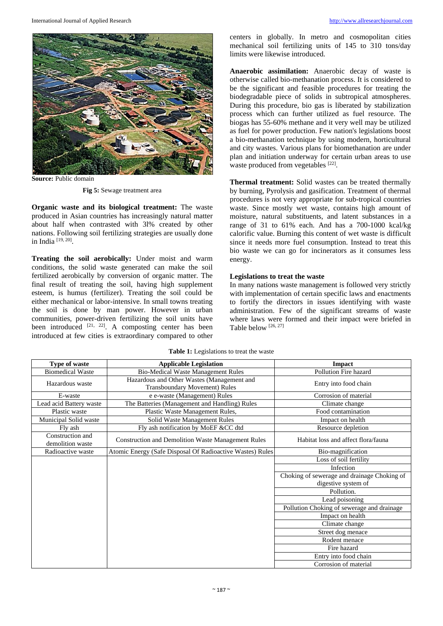

**Source:** Public domain

**Fig 5:** Sewage treatment area

**Organic waste and its biological treatment:** The waste produced in Asian countries has increasingly natural matter about half when contrasted with 3l% created by other nations. Following soil fertilizing strategies are usually done in India [19, 20] .

**Treating the soil aerobically:** Under moist and warm conditions, the solid waste generated can make the soil fertilized aerobically by conversion of organic matter. The final result of treating the soil, having high supplement esteem, is humus (fertilizer). Treating the soil could be either mechanical or labor-intensive. In small towns treating the soil is done by man power. However in urban communities, power-driven fertilizing the soil units have been introduced [21, 22]. A composting center has been introduced at few cities is extraordinary compared to other centers in globally. In metro and cosmopolitan cities mechanical soil fertilizing units of 145 to 310 tons/day limits were likewise introduced.

**Anaerobic assimilation:** Anaerobic decay of waste is otherwise called bio-methanation process. It is considered to be the significant and feasible procedures for treating the biodegradable piece of solids in subtropical atmospheres. During this procedure, bio gas is liberated by stabilization process which can further utilized as fuel resource. The biogas has 55-60% methane and it very well may be utilized as fuel for power production. Few nation's legislations boost a bio-methanation technique by using modern, horticultural and city wastes. Various plans for biomethanation are under plan and initiation underway for certain urban areas to use waste produced from vegetables [22].

**Thermal treatment:** Solid wastes can be treated thermally by burning, Pyrolysis and gasification. Treatment of thermal procedures is not very appropriate for sub-tropical countries waste. Since mostly wet waste, contains high amount of moisture, natural substituents, and latent substances in a range of 31 to 61% each. And has a 700-1000 kcal/kg calorific value. Burning this content of wet waste is difficult since it needs more fuel consumption. Instead to treat this bio waste we can go for incinerators as it consumes less energy.

#### **Legislations to treat the waste**

In many nations waste management is followed very strictly with implementation of certain specific laws and enactments to fortify the directors in issues identifying with waste administration. Few of the significant streams of waste where laws were formed and their impact were briefed in Table below [26, 27]

| Type of waste                        | <b>Applicable Legislation</b>                                                      | <b>Impact</b>                               |
|--------------------------------------|------------------------------------------------------------------------------------|---------------------------------------------|
| <b>Biomedical Waste</b>              | <b>Bio-Medical Waste Management Rules</b>                                          | Pollution Fire hazard                       |
| Hazardous waste                      | Hazardous and Other Wastes (Management and<br><b>Transboundary Movement) Rules</b> | Entry into food chain                       |
| E-waste                              | e e-waste (Management) Rules                                                       | Corrosion of material                       |
| Lead acid Battery waste              | The Batteries (Management and Handling) Rules                                      | Climate change                              |
| Plastic waste                        | Plastic Waste Management Rules,                                                    | Food contamination                          |
| Municipal Solid waste                | Solid Waste Management Rules                                                       | Impact on health                            |
| Fly ash                              | Fly ash notification by MoEF &CC dtd                                               | Resource depletion                          |
| Construction and<br>demolition waste | <b>Construction and Demolition Waste Management Rules</b>                          | Habitat loss and affect flora/fauna         |
| Radioactive waste                    | Atomic Energy (Safe Disposal Of Radioactive Wastes) Rules                          | Bio-magnification                           |
|                                      |                                                                                    | Loss of soil fertility                      |
|                                      |                                                                                    | Infection                                   |
|                                      |                                                                                    | Choking of sewerage and drainage Choking of |
|                                      |                                                                                    | digestive system of                         |
|                                      |                                                                                    | Pollution.                                  |
|                                      |                                                                                    | Lead poisoning                              |
|                                      |                                                                                    | Pollution Choking of sewerage and drainage  |
|                                      |                                                                                    | Impact on health                            |
|                                      |                                                                                    | Climate change                              |
|                                      |                                                                                    | Street dog menace                           |
|                                      |                                                                                    | Rodent menace                               |
|                                      |                                                                                    | Fire hazard                                 |
|                                      |                                                                                    | Entry into food chain                       |
|                                      |                                                                                    | Corrosion of material                       |

**Table 1:** Legislations to treat the waste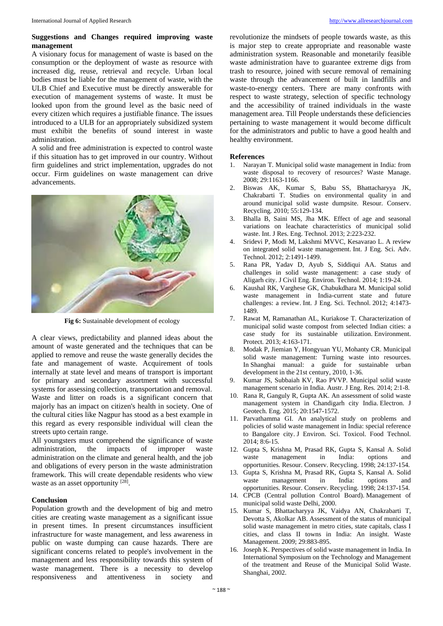#### **Suggestions and Changes required improving waste management**

A visionary focus for management of waste is based on the consumption or the deployment of waste as resource with increased dig, reuse, retrieval and recycle. Urban local bodies must be liable for the management of waste, with the ULB Chief and Executive must be directly answerable for execution of management systems of waste. It must be looked upon from the ground level as the basic need of every citizen which requires a justifiable finance. The issues introduced to a ULB for an appropriately subsidized system must exhibit the benefits of sound interest in waste administration.

A solid and free administration is expected to control waste if this situation has to get improved in our country. Without firm guidelines and strict implementation, upgrades do not occur. Firm guidelines on waste management can drive advancements.



**Fig 6:** Sustainable development of ecology

A clear views, predictability and planned ideas about the amount of waste generated and the techniques that can be applied to remove and reuse the waste generally decides the fate and management of waste. Acquirement of tools internally at state level and means of transport is important for primary and secondary assortment with successful systems for assessing collection, transportation and removal. Waste and litter on roads is a significant concern that majorly has an impact on citizen's health in society. One of the cultural cities like Nagpur has stood as a best example in this regard as every responsible individual will clean the streets upto certain range.

All youngsters must comprehend the significance of waste administration, the impacts of improper waste administration on the climate and general health, and the job and obligations of every person in the waste administration framework. This will create dependable residents who view waste as an asset opportunity [28].

#### **Conclusion**

Population growth and the development of big and metro cities are creating waste management as a significant issue in present times. In present circumstances insufficient infrastructure for waste management, and less awareness in public on waste dumping can cause hazards. There are significant concerns related to people's involvement in the management and less responsibility towards this system of waste management. There is a necessity to develop responsiveness and attentiveness in society and

revolutionize the mindsets of people towards waste, as this is major step to create appropriate and reasonable waste administration system. Reasonable and monetarily feasible waste administration have to guarantee extreme digs from trash to resource, joined with secure removal of remaining waste through the advancement of built in landfills and waste-to-energy centers. There are many confronts with respect to waste strategy, selection of specific technology and the accessibility of trained individuals in the waste management area. Till People understands these deficiencies pertaining to waste management it would become difficult for the administrators and public to have a good health and healthy environment.

#### **References**

- 1. Narayan T. Municipal solid waste management in India: from waste disposal to recovery of resources? Waste Manage*.* 2008; 29:1163-1166.
- 2. Biswas AK, Kumar S, Babu SS, Bhattacharyya JK, Chakrabarti T. Studies on environmental quality in and around municipal solid waste dumpsite. Resour*.* Conserv. Recycling*.* 2010; 55:129-134.
- 3. Bhalla B, Saini MS, Jha MK. Effect of age and seasonal variations on leachate characteristics of municipal solid waste. Int. J Res. Eng. Technol*.* 2013; 2:223-232.
- 4. Sridevi P, Modi M, Lakshmi MVVC, Kesavarao L. A review on integrated solid waste management. Int. J Eng. Sci. Adv. Technol*.* 2012; 2:1491-1499.
- 5. Rana PR, Yadav D, Ayub S, Siddiqui AA. Status and challenges in solid waste management: a case study of Aligarh city. J Civil Eng. Environ. Technol*.* 2014; 1:19-24.
- 6. Kaushal RK, Varghese GK, Chabukdhara M. Municipal solid waste management in India-current state and future challenges: a review. Int. J Eng. Sci. Technol*.* 2012; 4:1473- 1489.
- 7. Rawat M, Ramanathan AL, Kuriakose T. Characterization of municipal solid waste compost from selected Indian cities: a case study for its sustainable utilization. Environment. Protect. 2013; 4:163-171.
- 8. Modak P, Jiemian Y, Hongyuan YU, Mohanty CR. Municipal solid waste management: Turning waste into resources. In Shanghai manual: a guide for sustainable urban development in the 21st century, 2010, 1-36.
- 9. Kumar JS, Subbaiah KV, Rao PVVP. Municipal solid waste management scenario in India. Austr. J Eng. Res*.* 2014; 2:1-8.
- 10. Rana R, Ganguly R, Gupta AK. An assessment of solid waste management system in Chandigarh city India. Electron. J Geotech. Eng*.* 2015; 20:1547-1572.
- 11. Parvathamma GI. An analytical study on problems and policies of solid waste management in India: special reference to Bangalore city. J Environ. Sci. Toxicol. Food Technol*.* 2014; 8:6-15.
- 12. Gupta S, Krishna M, Prasad RK, Gupta S, Kansal A. Solid waste management in India: options and opportunities. Resour. Conserv. Recycling. 1998; 24:137-154.
- 13. Gupta S, Krishna M, Prasad RK, Gupta S, Kansal A. Solid waste management in India: options and opportunities. Resour. Conserv. Recycling*.* 1998; 24:137-154.
- 14. CPCB (Central pollution Control Board). Management of municipal solid waste Delhi, 2000.
- 15. Kumar S, Bhattacharyya JK, Vaidya AN, Chakrabarti T, Devotta S, Akolkar AB. Assessment of the status of municipal solid waste management in metro cities, state capitals, class I cities, and class II towns in India: An insight. Waste Management. 2009; 29:883-895.
- 16. Joseph K. Perspectives of solid waste management in India. In International Symposium on the Technology and Management of the treatment and Reuse of the Municipal Solid Waste. Shanghai, 2002.